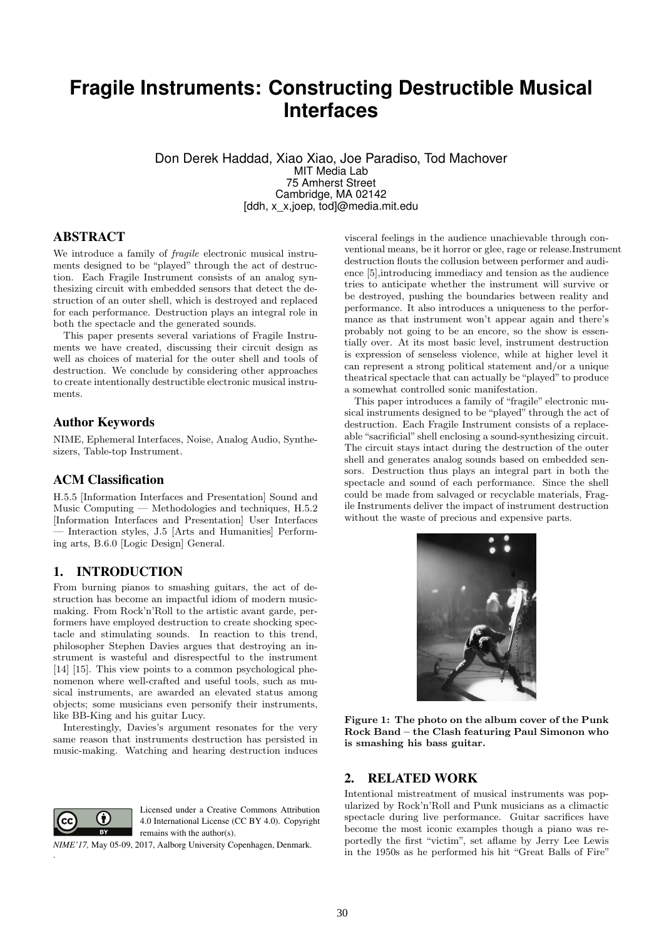# **Fragile Instruments: Constructing Destructible Musical Interfaces**

Don Derek Haddad, Xiao Xiao, Joe Paradiso, Tod Machover MIT Media Lab 75 Amherst Street Cambridge, MA 02142 [ddh, x\_x,joep, tod]@media.mit.edu

# ABSTRACT

We introduce a family of fragile electronic musical instruments designed to be "played" through the act of destruction. Each Fragile Instrument consists of an analog synthesizing circuit with embedded sensors that detect the destruction of an outer shell, which is destroyed and replaced for each performance. Destruction plays an integral role in both the spectacle and the generated sounds.

This paper presents several variations of Fragile Instruments we have created, discussing their circuit design as well as choices of material for the outer shell and tools of destruction. We conclude by considering other approaches to create intentionally destructible electronic musical instruments.

## Author Keywords

NIME, Ephemeral Interfaces, Noise, Analog Audio, Synthesizers, Table-top Instrument.

#### ACM Classification

H.5.5 [Information Interfaces and Presentation] Sound and Music Computing — Methodologies and techniques, H.5.2 [Information Interfaces and Presentation] User Interfaces — Interaction styles, J.5 [Arts and Humanities] Performing arts, B.6.0 [Logic Design] General.

#### 1. INTRODUCTION

From burning pianos to smashing guitars, the act of destruction has become an impactful idiom of modern musicmaking. From Rock'n'Roll to the artistic avant garde, performers have employed destruction to create shocking spectacle and stimulating sounds. In reaction to this trend, philosopher Stephen Davies argues that destroying an instrument is wasteful and disrespectful to the instrument [14] [15]. This view points to a common psychological phenomenon where well-crafted and useful tools, such as musical instruments, are awarded an elevated status among objects; some musicians even personify their instruments, like BB-King and his guitar Lucy.

Interestingly, Davies's argument resonates for the very same reason that instruments destruction has persisted in music-making. Watching and hearing destruction induces



.

Licensed under a Creative Commons Attribution 4.0 International License (CC BY 4.0). Copyright remains with the author(s).

*NIME'17,* May 05-09, 2017, Aalborg University Copenhagen, Denmark.

visceral feelings in the audience unachievable through conventional means, be it horror or glee, rage or release.Instrument destruction flouts the collusion between performer and audience [5],introducing immediacy and tension as the audience tries to anticipate whether the instrument will survive or be destroyed, pushing the boundaries between reality and performance. It also introduces a uniqueness to the performance as that instrument won't appear again and there's probably not going to be an encore, so the show is essentially over. At its most basic level, instrument destruction is expression of senseless violence, while at higher level it can represent a strong political statement and/or a unique theatrical spectacle that can actually be "played" to produce a somewhat controlled sonic manifestation.

This paper introduces a family of "fragile" electronic musical instruments designed to be "played" through the act of destruction. Each Fragile Instrument consists of a replaceable "sacrificial" shell enclosing a sound-synthesizing circuit. The circuit stays intact during the destruction of the outer shell and generates analog sounds based on embedded sensors. Destruction thus plays an integral part in both the spectacle and sound of each performance. Since the shell could be made from salvaged or recyclable materials, Fragile Instruments deliver the impact of instrument destruction without the waste of precious and expensive parts.



Figure 1: The photo on the album cover of the Punk Rock Band – the Clash featuring Paul Simonon who is smashing his bass guitar.

#### 2. RELATED WORK

Intentional mistreatment of musical instruments was popularized by Rock'n'Roll and Punk musicians as a climactic spectacle during live performance. Guitar sacrifices have become the most iconic examples though a piano was reportedly the first "victim", set aflame by Jerry Lee Lewis in the 1950s as he performed his hit "Great Balls of Fire"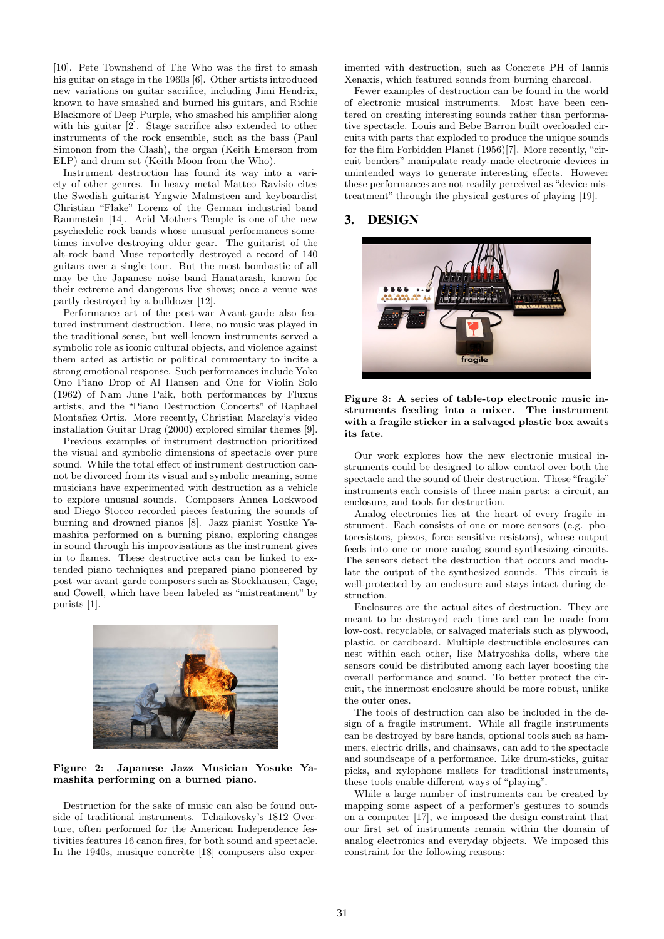[10]. Pete Townshend of The Who was the first to smash his guitar on stage in the 1960s [6]. Other artists introduced new variations on guitar sacrifice, including Jimi Hendrix, known to have smashed and burned his guitars, and Richie Blackmore of Deep Purple, who smashed his amplifier along with his guitar [2]. Stage sacrifice also extended to other instruments of the rock ensemble, such as the bass (Paul Simonon from the Clash), the organ (Keith Emerson from ELP) and drum set (Keith Moon from the Who).

Instrument destruction has found its way into a variety of other genres. In heavy metal Matteo Ravisio cites the Swedish guitarist Yngwie Malmsteen and keyboardist Christian "Flake" Lorenz of the German industrial band Rammstein [14]. Acid Mothers Temple is one of the new psychedelic rock bands whose unusual performances sometimes involve destroying older gear. The guitarist of the alt-rock band Muse reportedly destroyed a record of 140 guitars over a single tour. But the most bombastic of all may be the Japanese noise band Hanatarash, known for their extreme and dangerous live shows; once a venue was partly destroyed by a bulldozer [12].

Performance art of the post-war Avant-garde also featured instrument destruction. Here, no music was played in the traditional sense, but well-known instruments served a symbolic role as iconic cultural objects, and violence against them acted as artistic or political commentary to incite a strong emotional response. Such performances include Yoko Ono Piano Drop of Al Hansen and One for Violin Solo (1962) of Nam June Paik, both performances by Fluxus artists, and the "Piano Destruction Concerts" of Raphael Montañez Ortiz. More recently, Christian Marclay's video installation Guitar Drag (2000) explored similar themes [9].

Previous examples of instrument destruction prioritized the visual and symbolic dimensions of spectacle over pure sound. While the total effect of instrument destruction cannot be divorced from its visual and symbolic meaning, some musicians have experimented with destruction as a vehicle to explore unusual sounds. Composers Annea Lockwood and Diego Stocco recorded pieces featuring the sounds of burning and drowned pianos [8]. Jazz pianist Yosuke Yamashita performed on a burning piano, exploring changes in sound through his improvisations as the instrument gives in to flames. These destructive acts can be linked to extended piano techniques and prepared piano pioneered by post-war avant-garde composers such as Stockhausen, Cage, and Cowell, which have been labeled as "mistreatment" by purists [1].



Figure 2: Japanese Jazz Musician Yosuke Yamashita performing on a burned piano.

Destruction for the sake of music can also be found outside of traditional instruments. Tchaikovsky's 1812 Overture, often performed for the American Independence festivities features 16 canon fires, for both sound and spectacle. In the  $1940s$ , musique concrète [18] composers also experimented with destruction, such as Concrete PH of Iannis Xenaxis, which featured sounds from burning charcoal.

Fewer examples of destruction can be found in the world of electronic musical instruments. Most have been centered on creating interesting sounds rather than performative spectacle. Louis and Bebe Barron built overloaded circuits with parts that exploded to produce the unique sounds for the film Forbidden Planet (1956)[7]. More recently, "circuit benders" manipulate ready-made electronic devices in unintended ways to generate interesting effects. However these performances are not readily perceived as "device mistreatment" through the physical gestures of playing [19].

# 3. DESIGN



Figure 3: A series of table-top electronic music instruments feeding into a mixer. The instrument with a fragile sticker in a salvaged plastic box awaits its fate.

Our work explores how the new electronic musical instruments could be designed to allow control over both the spectacle and the sound of their destruction. These "fragile" instruments each consists of three main parts: a circuit, an enclosure, and tools for destruction.

Analog electronics lies at the heart of every fragile instrument. Each consists of one or more sensors (e.g. photoresistors, piezos, force sensitive resistors), whose output feeds into one or more analog sound-synthesizing circuits. The sensors detect the destruction that occurs and modulate the output of the synthesized sounds. This circuit is well-protected by an enclosure and stays intact during destruction.

Enclosures are the actual sites of destruction. They are meant to be destroyed each time and can be made from low-cost, recyclable, or salvaged materials such as plywood, plastic, or cardboard. Multiple destructible enclosures can nest within each other, like Matryoshka dolls, where the sensors could be distributed among each layer boosting the overall performance and sound. To better protect the circuit, the innermost enclosure should be more robust, unlike the outer ones.

The tools of destruction can also be included in the design of a fragile instrument. While all fragile instruments can be destroyed by bare hands, optional tools such as hammers, electric drills, and chainsaws, can add to the spectacle and soundscape of a performance. Like drum-sticks, guitar picks, and xylophone mallets for traditional instruments, these tools enable different ways of "playing".

While a large number of instruments can be created by mapping some aspect of a performer's gestures to sounds on a computer [17], we imposed the design constraint that our first set of instruments remain within the domain of analog electronics and everyday objects. We imposed this constraint for the following reasons: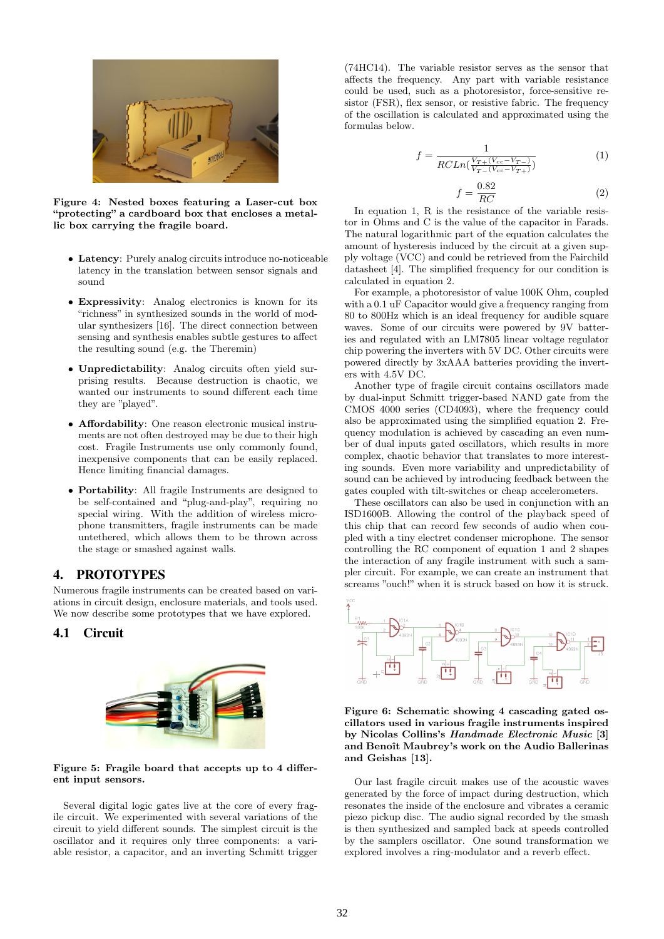

Figure 4: Nested boxes featuring a Laser-cut box "protecting" a cardboard box that encloses a metallic box carrying the fragile board.

- Latency: Purely analog circuits introduce no-noticeable latency in the translation between sensor signals and sound
- Expressivity: Analog electronics is known for its "richness" in synthesized sounds in the world of modular synthesizers [16]. The direct connection between sensing and synthesis enables subtle gestures to affect the resulting sound (e.g. the Theremin)
- Unpredictability: Analog circuits often yield surprising results. Because destruction is chaotic, we wanted our instruments to sound different each time they are "played".
- Affordability: One reason electronic musical instruments are not often destroyed may be due to their high cost. Fragile Instruments use only commonly found, inexpensive components that can be easily replaced. Hence limiting financial damages.
- Portability: All fragile Instruments are designed to be self-contained and "plug-and-play", requiring no special wiring. With the addition of wireless microphone transmitters, fragile instruments can be made untethered, which allows them to be thrown across the stage or smashed against walls.

# 4. PROTOTYPES

Numerous fragile instruments can be created based on variations in circuit design, enclosure materials, and tools used. We now describe some prototypes that we have explored.

# 4.1 Circuit



Figure 5: Fragile board that accepts up to 4 different input sensors.

Several digital logic gates live at the core of every fragile circuit. We experimented with several variations of the circuit to yield different sounds. The simplest circuit is the oscillator and it requires only three components: a variable resistor, a capacitor, and an inverting Schmitt trigger

(74HC14). The variable resistor serves as the sensor that affects the frequency. Any part with variable resistance could be used, such as a photoresistor, force-sensitive resistor (FSR), flex sensor, or resistive fabric. The frequency of the oscillation is calculated and approximated using the formulas below.

$$
f = \frac{1}{RCLn(\frac{V_{T+}(V_{cc}-V_{T-})}{V_{T-}(V_{cc}-V_{T+})})}
$$
(1)

$$
f = \frac{0.82}{RC}
$$
 (2)

In equation 1, R is the resistance of the variable resistor in Ohms and C is the value of the capacitor in Farads. The natural logarithmic part of the equation calculates the amount of hysteresis induced by the circuit at a given supply voltage (VCC) and could be retrieved from the Fairchild datasheet [4]. The simplified frequency for our condition is calculated in equation 2.

For example, a photoresistor of value 100K Ohm, coupled with a 0.1 uF Capacitor would give a frequency ranging from 80 to 800Hz which is an ideal frequency for audible square waves. Some of our circuits were powered by 9V batteries and regulated with an LM7805 linear voltage regulator chip powering the inverters with 5V DC. Other circuits were powered directly by 3xAAA batteries providing the inverters with 4.5V DC.

Another type of fragile circuit contains oscillators made by dual-input Schmitt trigger-based NAND gate from the CMOS 4000 series (CD4093), where the frequency could also be approximated using the simplified equation 2. Frequency modulation is achieved by cascading an even number of dual inputs gated oscillators, which results in more complex, chaotic behavior that translates to more interesting sounds. Even more variability and unpredictability of sound can be achieved by introducing feedback between the gates coupled with tilt-switches or cheap accelerometers.

These oscillators can also be used in conjunction with an ISD1600B. Allowing the control of the playback speed of this chip that can record few seconds of audio when coupled with a tiny electret condenser microphone. The sensor controlling the RC component of equation 1 and 2 shapes the interaction of any fragile instrument with such a sampler circuit. For example, we can create an instrument that screams "ouch!" when it is struck based on how it is struck.



Figure 6: Schematic showing 4 cascading gated oscillators used in various fragile instruments inspired by Nicolas Collins's Handmade Electronic Music [3] and Benoît Maubrey's work on the Audio Ballerinas and Geishas [13].

Our last fragile circuit makes use of the acoustic waves generated by the force of impact during destruction, which resonates the inside of the enclosure and vibrates a ceramic piezo pickup disc. The audio signal recorded by the smash is then synthesized and sampled back at speeds controlled by the samplers oscillator. One sound transformation we explored involves a ring-modulator and a reverb effect.